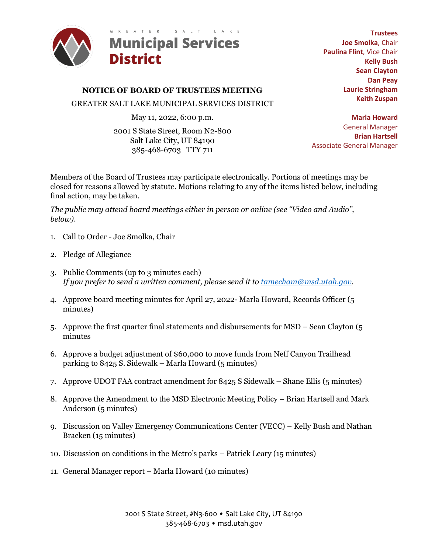

**NOTICE OF BOARD OF TRUSTEES MEETING**

GREATER SALT LAKE MUNICIPAL SERVICES DISTRICT

May 11, 2022, 6:00 p.m.

2001 S State Street, Room N2-800 Salt Lake City, UT 84190 385-468-6703 TTY 711

**Trustees Joe Smolka**, Chair **Paulina Flint**, Vice Chair **Kelly Bush Sean Clayton Dan Peay Laurie Stringham Keith Zuspan**

**Marla Howard** General Manager **Brian Hartsell** Associate General Manager

Members of the Board of Trustees may participate electronically. Portions of meetings may be closed for reasons allowed by statute. Motions relating to any of the items listed below, including final action, may be taken.

*The public may attend board meetings either in person or online (see "Video and Audio", below)*.

- 1. Call to Order Joe Smolka, Chair
- 2. Pledge of Allegiance
- 3. Public Comments (up to 3 minutes each) *If you prefer to send a written comment, please send it to [tamecham@msd.utah.gov.](mailto:tamecham@msd.utah.gov)*
- 4. Approve board meeting minutes for April 27, 2022- Marla Howard, Records Officer (5 minutes)
- 5. Approve the first quarter final statements and disbursements for MSD Sean Clayton (5 minutes
- 6. Approve a budget adjustment of \$60,000 to move funds from Neff Canyon Trailhead parking to 8425 S. Sidewalk – Marla Howard (5 minutes)
- 7. Approve UDOT FAA contract amendment for 8425 S Sidewalk Shane Ellis (5 minutes)
- 8. Approve the Amendment to the MSD Electronic Meeting Policy Brian Hartsell and Mark Anderson (5 minutes)
- 9. Discussion on Valley Emergency Communications Center (VECC) Kelly Bush and Nathan Bracken (15 minutes)
- 10. Discussion on conditions in the Metro's parks Patrick Leary (15 minutes)
- 11. General Manager report Marla Howard (10 minutes)

2001 S State Street, #N3-600 • Salt Lake City, UT 84190 385-468-6703 • msd.utah.gov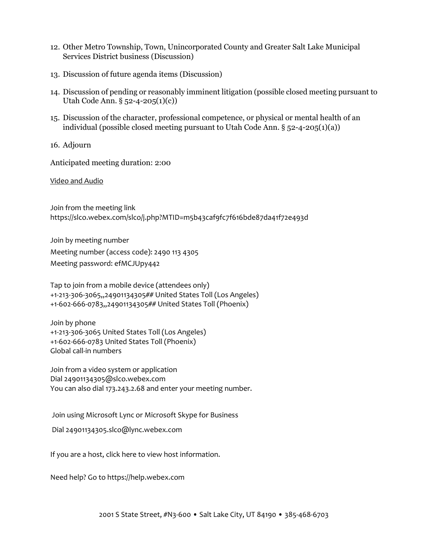- 12. Other Metro Township, Town, Unincorporated County and Greater Salt Lake Municipal Services District business (Discussion)
- 13. Discussion of future agenda items (Discussion)
- 14. Discussion of pending or reasonably imminent litigation (possible closed meeting pursuant to Utah Code Ann. § 52-4-205(1)(c))
- 15. Discussion of the character, professional competence, or physical or mental health of an individual (possible closed meeting pursuant to Utah Code Ann. § 52-4-205(1)(a))
- 16. Adjourn

Anticipated meeting duration: 2:00

Video and Audio

Join from the meeting link <https://slco.webex.com/slco/j.php?MTID=m5b43caf9fc7f616bde87da41f72e493d>

Join by meeting number Meeting number (access code): 2490 113 4305 Meeting password: efMCJUpy442

Tap to join from a mobile device (attendees only) [+1-213-306-3065,,24901134305##](tel:%2B1-213-306-3065,,*01*24901134305%23%23*01*) United States Toll (Los Angeles) [+1-602-666-0783,,24901134305##](tel:%2B1-602-666-0783,,*01*24901134305%23%23*01*) United States Toll (Phoenix)

Join by phone +1-213-306-3065 United States Toll (Los Angeles) +1-602-666-0783 United States Toll (Phoenix) [Global call-in numbers](https://slco.webex.com/slco/globalcallin.php?MTID=m4d6ba9283b6a9b513ff6cba16d9445f3) 

Join from a video system or application Dial [24901134305@slco.webex.com](sip:24901134305@slco.webex.com)  You can also dial 173.243.2.68 and enter your meeting number.

Join using Microsoft Lync or Microsoft Skype for Business

Dial [24901134305.slco@lync.webex.com](sip:24901134305.slco@lync.webex.com)

If you are a host[, click here](https://slco.webex.com/slco/j.php?MTID=m89ffacd40fb941e0aaabfe185ecdccc7) to view host information.

Need help? Go t[o https://help.webex.com](https://help.webex.com/)